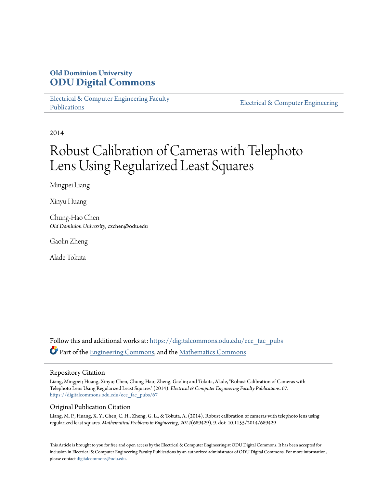# **Old Dominion University [ODU Digital Commons](https://digitalcommons.odu.edu?utm_source=digitalcommons.odu.edu%2Fece_fac_pubs%2F67&utm_medium=PDF&utm_campaign=PDFCoverPages)**

[Electrical & Computer Engineering Faculty](https://digitalcommons.odu.edu/ece_fac_pubs?utm_source=digitalcommons.odu.edu%2Fece_fac_pubs%2F67&utm_medium=PDF&utm_campaign=PDFCoverPages) [Publications](https://digitalcommons.odu.edu/ece_fac_pubs?utm_source=digitalcommons.odu.edu%2Fece_fac_pubs%2F67&utm_medium=PDF&utm_campaign=PDFCoverPages)

[Electrical & Computer Engineering](https://digitalcommons.odu.edu/ece?utm_source=digitalcommons.odu.edu%2Fece_fac_pubs%2F67&utm_medium=PDF&utm_campaign=PDFCoverPages)

2014

# Robust Calibration of Cameras with Telephoto Lens Using Regularized Least Squares

Mingpei Liang

Xinyu Huang

Chung-Hao Chen *Old Dominion University*, cxchen@odu.edu

Gaolin Zheng

Alade Tokuta

Follow this and additional works at: [https://digitalcommons.odu.edu/ece\\_fac\\_pubs](https://digitalcommons.odu.edu/ece_fac_pubs?utm_source=digitalcommons.odu.edu%2Fece_fac_pubs%2F67&utm_medium=PDF&utm_campaign=PDFCoverPages) Part of the [Engineering Commons,](http://network.bepress.com/hgg/discipline/217?utm_source=digitalcommons.odu.edu%2Fece_fac_pubs%2F67&utm_medium=PDF&utm_campaign=PDFCoverPages) and the [Mathematics Commons](http://network.bepress.com/hgg/discipline/174?utm_source=digitalcommons.odu.edu%2Fece_fac_pubs%2F67&utm_medium=PDF&utm_campaign=PDFCoverPages)

# Repository Citation

Liang, Mingpei; Huang, Xinyu; Chen, Chung-Hao; Zheng, Gaolin; and Tokuta, Alade, "Robust Calibration of Cameras with Telephoto Lens Using Regularized Least Squares" (2014). *Electrical & Computer Engineering Faculty Publications*. 67. [https://digitalcommons.odu.edu/ece\\_fac\\_pubs/67](https://digitalcommons.odu.edu/ece_fac_pubs/67?utm_source=digitalcommons.odu.edu%2Fece_fac_pubs%2F67&utm_medium=PDF&utm_campaign=PDFCoverPages)

# Original Publication Citation

Liang, M. P., Huang, X. Y., Chen, C. H., Zheng, G. L., & Tokuta, A. (2014). Robust calibration of cameras with telephoto lens using regularized least squares. *Mathematical Problems in Engineering, 2014*(689429), 9. doi: 10.1155/2014/689429

This Article is brought to you for free and open access by the Electrical & Computer Engineering at ODU Digital Commons. It has been accepted for inclusion in Electrical & Computer Engineering Faculty Publications by an authorized administrator of ODU Digital Commons. For more information, please contact [digitalcommons@odu.edu](mailto:digitalcommons@odu.edu).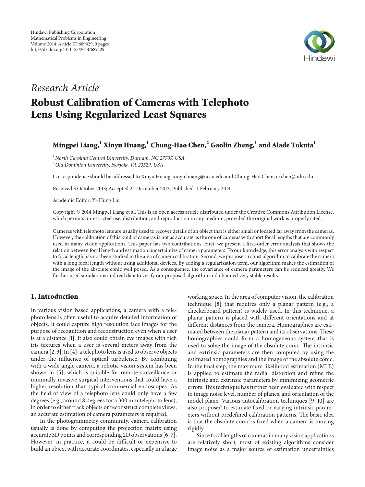

# *Research Article* **Robust Calibration of Cameras with Telephoto Lens Using Regularized Least Squares**

# **Mingpei Liang,<sup>1</sup> Xinyu Huang,<sup>1</sup> Chung-Hao Chen,2 Gaolin Zheng,1 and Alade Tokuta<sup>1</sup>**

*<sup>1</sup> North Carolina Central University, Durham, NC 27707, USA <sup>2</sup> Old Dominion University, Norfolk, VA 23529, USA*

Correspondence should be addressed to Xinyu Huang; xinyu.huang@nccu.edu and Chung-Hao Chen; cxchen@odu.edu

Received 3 October 2013; Accepted 24 December 2013; Published 11 February 2014

Academic Editor: Yi-Hung Liu

Copyright © 2014 Mingpei Liang et al. This is an open access article distributed under the Creative Commons Attribution License, which permits unrestricted use, distribution, and reproduction in any medium, provided the original work is properly cited.

Cameras with telephoto lens are usually used to recover details of an object that is either small or located far away from the cameras. However, the calibration of this kind of cameras is not as accurate as the one of cameras with short focal lengths that are commonly used in many vision applications. This paper has two contributions. First, we present a first-order error analysis that shows the relation between focal length and estimation uncertainties of camera parameters. To our knowledge, this error analysis with respect to focal length has not been studied in the area of camera calibration. Second, we propose a robust algorithm to calibrate the camera with a long focal length without using additional devices. By adding a regularization term, our algorithm makes the estimation of the image of the absolute conic well posed. As a consequence, the covariance of camera parameters can be reduced greatly. We further used simulations and real data to verify our proposed algorithm and obtained very stable results.

# **1. Introduction**

In various vision based applications, a camera with a telephoto lens is often useful to acquire detailed information of objects. It could capture high resolution face images for the purpose of recognition and reconstruction even when a user is at a distance [1]. It also could obtain eye images with rich iris textures when a user is several meters away from the camera [2, 3]. In [4], a telephoto lens is used to observe objects under the influence of optical turbulence. By combining with a wide-angle camera, a robotic vision system has been shown in [5], which is suitable for remote surveillance or minimally invasive surgical interventions that could have a higher resolution than typical commercial endoscopes. As the field of view of a telephoto lens could only have a few degrees (e.g., around 8 degrees for a 300 mm telephoto lens), in order to either track objects or reconstruct complete views, an accurate estimation of camera parameters is required.

In the photogrammetry community, camera calibration usually is done by computing the projection matrix using accurate 3D points and corresponding 2D observations [6, 7]. However, in practice, it could be difficult or expensive to build an object with accurate coordinates, especially in a large

working space. In the area of computer vision, the calibration technique [8] that requires only a planar pattern (e.g., a checkerboard pattern) is widely used. In this technique, a planar pattern is placed with different orientations and at different distances from the camera. Homographies are estimated between the planar pattern and its observations. These homographies could form a homogeneous system that is used to solve the image of the absolute conic. The intrinsic and extrinsic parameters are then computed by using the estimated homographies and the image of the absolute conic. In the final step, the maximum likelihood estimation (MLE) is applied to estimate the radial distortion and refine the intrinsic and extrinsic parameters by minimizing geometric errors.This technique has further been evaluated with respect to image noise level, number of planes, and orientation of the model plane. Various autocalibration techniques [9, 10] are also proposed to estimate fixed or varying intrinsic parameters without predefined calibration patterns. The basic idea is that the absolute conic is fixed when a camera is moving rigidly.

Since focal lengths of cameras in many vision applications are relatively short, most of existing algorithms consider image noise as a major source of estimation uncertainties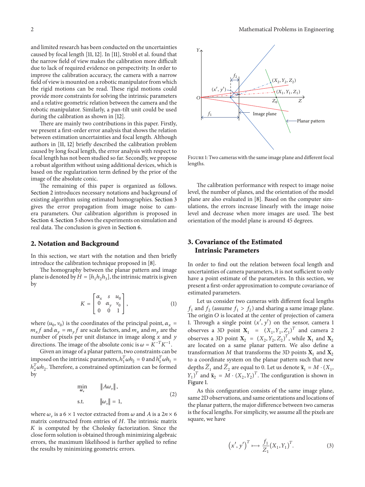and limited research has been conducted on the uncertainties caused by focal length [11, 12]. In [11], Strobl et al. found that the narrow field of view makes the calibration more difficult due to lack of required evidence on perspectivity. In order to improve the calibration accuracy, the camera with a narrow field of view is mounted on a robotic manipulator from which the rigid motions can be read. These rigid motions could provide more constraints for solving the intrinsic parameters and a relative geometric relation between the camera and the robotic manipulator. Similarly, a pan-tilt unit could be used during the calibration as shown in [12].

There are mainly two contributions in this paper. Firstly, we present a first-order error analysis that shows the relation between estimation uncertainties and focal length. Although authors in [11, 12] briefly described the calibration problem caused by long focal length, the error analysis with respect to focal length has not been studied so far. Secondly, we propose a robust algorithm without using additional devices, which is based on the regularization term defined by the prior of the image of the absolute conic.

The remaining of this paper is organized as follows. Section 2 introduces necessary notations and background of existing algorithm using estimated homographies. Section 3 gives the error propagation from image noise to camera parameters. Our calibration algorithm is proposed in Section 4. Section 5 shows the experiments on simulation and real data. The conclusion is given in Section 6.

#### **2. Notation and Background**

In this section, we start with the notation and then briefly introduce the calibration technique proposed in [8].

The homography between the planar pattern and image plane is denoted by  $H = [h_1 h_2 h_3]$ , the intrinsic matrix is given by

$$
K = \begin{bmatrix} \alpha_x & s & u_0 \\ 0 & \alpha_y & v_0 \\ 0 & 0 & 1 \end{bmatrix},
$$
 (1)

where  $(u_0, v_0)$  is the coordinates of the principal point,  $\alpha_x$  =  $m_x f$  and  $\alpha_y = m_y f$  are scale factors, and  $m_x$  and  $m_y$  are the number of pixels per unit distance in image along  $\hat{x}$  and  $\hat{y}$ directions. The image of the absolute conic is  $\omega = K^{-T} K^{-1}$ .

Given an image of a planar pattern, two constraints can be imposed on the intrinsic parameters,  $h_1^T \omega h_2 = 0$  and  $h_1^T \omega h_1 =$  $h_2^T \omega h_2$ . Therefore, a constrained optimization can be formed by

$$
\min_{\omega_{\mathbf{v}}} \qquad \|A\omega_{\mathbf{v}}\|,
$$
\n
$$
\text{s.t.} \qquad \|\omega_{\mathbf{v}}\| = 1,
$$
\n
$$
(2)
$$

where  $\omega_{\nu}$  is a 6 × 1 vector extracted from  $\omega$  and A is a 2n × 6 matrix constructed from entries of  $H$ . The intrinsic matrix  $K$  is computed by the Cholesky factorization. Since the close form solution is obtained through minimizing algebraic errors, the maximum likelihood is further applied to refine the results by minimizing geometric errors.



Figure 1: Two cameras with the same image plane and different focal lengths.

The calibration performance with respect to image noise level, the number of planes, and the orientation of the model plane are also evaluated in [8]. Based on the computer simulations, the errors increase linearly with the image noise level and decrease when more images are used. The best orientation of the model plane is around 45 degrees.

# **3. Covariance of the Estimated Intrinsic Parameters**

In order to find out the relation between focal length and uncertainties of camera parameters, it is not sufficient to only have a point estimate of the parameters. In this section, we present a first-order approximation to compute covariance of estimated parameters.

Let us consider two cameras with different focal lengths  $f_1$  and  $f_2$  (assume  $f_1 > f_2$ ) and sharing a same image plane. The origin  $O$  is located at the center of projection of camera 1. Through a single point  $(x', y')$  on the sensor, camera 1 observes a 3D point  $X_1 = (X_1, Y_1, Z_1)^T$  and camera 2 observes a 3D point  $X_2 = (X_2, Y_2, Z_2)^T$ , while  $X_1$  and  $X_2$ are located on a same planar pattern. We also define a transformation M that transforms the 3D points  $X_1$  and  $X_2$ to a coordinate system on the planar pattern such that new depths  $\widetilde{Z}_1$  and  $\widetilde{Z}_2$  are equal to 0. Let us denote  $\widetilde{\mathbf{x}}_1 = M \cdot (X_1, \mathbf{x})$  $(Y_1)^T$  and  $\tilde{\mathbf{x}}_2 = M \cdot (X_2, Y_2)^T$ . The configuration is shown in Figure 1.

As this configuration consists of the same image plane, same 2D observations, and same orientations and locations of the planar pattern, the major difference between two cameras is the focal lengths. For simplicity, we assume all the pixels are square, we have

$$
(x', y')^T \mapsto \frac{f_1}{Z_1} (X_1, Y_1)^T.
$$
 (3)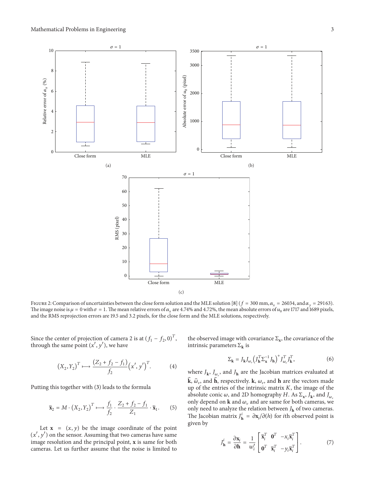

FIGURE 2: Comparison of uncertainties between the close form solution and the MLE solution [8] ( $f = 300$  mm,  $\alpha_x = 26034$ , and  $\alpha_y = 29163$ ). The image noise is  $\mu = 0$  with  $\sigma = 1$ . The mean relative errors of  $\alpha_x$  are 4.74% and 4.72%, the mean absolute errors of  $u_0$  are 1717 and 1689 pixels, and the RMS reprojection errors are 19.5 and 3.2 pixels, for the close form and the MLE solutions, respectively.

Since the center of projection of camera 2 is at  $(f_1 - f_2, 0)^T$ , through the same point  $(x', y')$ , we have

$$
(X_2, Y_2)^T \mapsto \frac{(Z_2 + f_2 - f_1)}{f_2} (x', y')^T.
$$
 (4)

Putting this together with (3) leads to the formula

$$
\widetilde{\mathbf{x}}_2 = M \cdot \left( X_2, Y_2 \right)^T \longmapsto \frac{f_1}{f_2} \cdot \frac{Z_2 + f_2 - f_1}{Z_1} \cdot \widetilde{\mathbf{x}}_1. \tag{5}
$$

Let  $\mathbf{x} = (x, y)$  be the image coordinate of the point  $(x', y')$  on the sensor. Assuming that two cameras have same image resolution and the principal point, **x** is same for both cameras. Let us further assume that the noise is limited to the observed image with covariance  $\Sigma_{\mathbf{x}}$ , the covariance of the intrinsic parameters  $\Sigma_{\mathbf{k}}$  is

$$
\Sigma_{\mathbf{k}} = J_{\mathbf{k}} J_{\omega_{\nu}} \left( J_{\mathbf{h}}^T \Sigma_{\mathbf{x}}^{-1} J_{\mathbf{h}} \right)^{+} J_{\omega_{\nu}}^T J_{\mathbf{k}}^T, \tag{6}
$$

where  $J_{\mathbf{k}}$ ,  $J_{\omega_{\nu}}$ , and  $J_{\mathbf{h}}$  are the Jacobian matrices evaluated at  $\mathbf{\hat{k}}$ ,  $\widehat{\omega}_{\nu}$ , and  $\mathbf{\hat{h}}$ , respectively.  $\mathbf{k}$ ,  $\omega_{\nu}$ , and  $\mathbf{h}$  are the vectors made up of the entries of the intrinsic matrix  $K$ , the image of the absolute conic  $\omega$ , and 2D homography H. As  $\Sigma_x$ ,  $J_k$ , and  $J_{\omega_k}$ only depend on **k** and  $\omega$ , and are same for both cameras, we only need to analyze the relation between  $J_{\mathbf{h}}$  of two cameras. The Jacobian matrix  $J_{\mathbf{h}}^i = \frac{\partial \mathbf{x}_i}{\partial h}$  for *i*th observed point is given by

$$
J_{\mathbf{h}}^{i} = \frac{\partial \mathbf{x}_{i}}{\partial \mathbf{h}} = \frac{1}{w_{i}^{\prime}} \begin{bmatrix} \tilde{\mathbf{x}}_{i}^{T} & \mathbf{0}^{T} & -\mathbf{x}_{i} \tilde{\mathbf{x}}_{i}^{T} \\ \mathbf{0}^{T} & \tilde{\mathbf{x}}_{i}^{T} & -\mathbf{y}_{i} \tilde{\mathbf{x}}_{i}^{T} \end{bmatrix} . \tag{7}
$$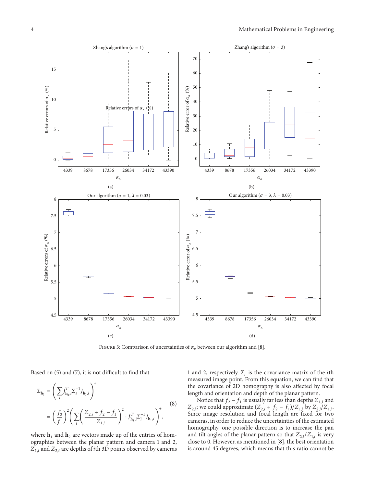

FIGURE 3: Comparison of uncertainties of  $\alpha_r$  between our algorithm and [8].

Based on (5) and (7), it is not difficult to find that

$$
\Sigma_{\mathbf{h}_2} = \left(\sum_i J_{\mathbf{h}_2,i}^T \Sigma_i^{-1} J_{\mathbf{h}_2,i}\right)^+
$$
\n
$$
= \left(\frac{f_2}{f_1}\right)^2 \left(\sum_i \left(\frac{Z_{2,i} + f_2 - f_1}{Z_{1,i}}\right)^2 \cdot J_{\mathbf{h}_1,i}^T \Sigma_i^{-1} J_{\mathbf{h}_1,i}\right)^+, \tag{8}
$$

where  $h_1$  and  $h_2$  are vectors made up of the entries of homographies between the planar pattern and camera 1 and 2,  $Z_{1,i}$  and  $Z_{2,i}$  are depths of *i*th 3D points observed by cameras

1 and 2, respectively.  $\Sigma_i$  is the covariance matrix of the *i*th measured image point. From this equation, we can find that the covariance of 2D homography is also affected by focal length and orientation and depth of the planar pattern.

Notice that  $f_2 - f_1$  is usually far less than depths  $Z_{1,i}$  and  $Z_{2,i}$ ; we could approximate  $(Z_{2,i} + f_2 - f_1)/Z_{1,i}$  by  $Z_{2,i}/Z_{1,i}$ . Since image resolution and focal length are fixed for two cameras, in order to reduce the uncertainties of the estimated homography, one possible direction is to increase the pan and tilt angles of the planar pattern so that  $Z_{2,i}/Z_{1,i}$  is very close to 0. However, as mentioned in [8], the best orientation is around 45 degrees, which means that this ratio cannot be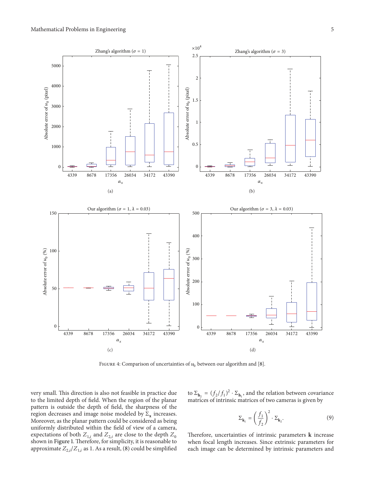

FIGURE 4: Comparison of uncertainties of  $u_0$  between our algorithm and [8].

very small. This direction is also not feasible in practice due to the limited depth of field. When the region of the planar pattern is outside the depth of field, the sharpness of the region decreases and image noise modeled by  $\Sigma_x$  increases. Moreover, as the planar pattern could be considered as being uniformly distributed within the field of view of a camera, expectations of both  $Z_{1,i}$  and  $Z_{2,i}$  are close to the depth  $Z_0$ shown in Figure 1. Therefore, for simplicity, it is reasonable to approximate  $Z_{2,i}/Z_{1,i}$  as 1. As a result, (8) could be simplified to  $\Sigma_{\mathbf{h}_2} = (f_2/f_1)^2 \cdot \Sigma_{\mathbf{h}_1}$ , and the relation between covariance matrices of intrinsic matrices of two cameras is given by

$$
\Sigma_{\mathbf{k}_1} = \left(\frac{f_1}{f_2}\right)^2 \cdot \Sigma_{\mathbf{k}_2}.\tag{9}
$$

Therefore, uncertainties of intrinsic parameters **k** increase when focal length increases. Since extrinsic parameters for each image can be determined by intrinsic parameters and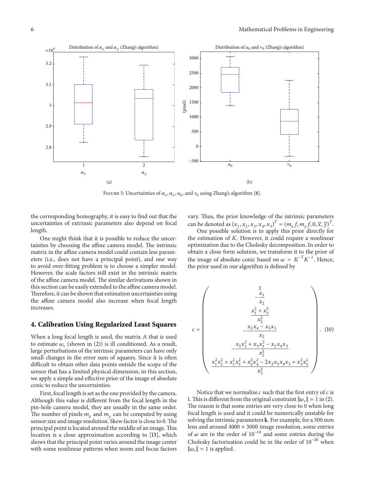

FIGURE 5: Uncertainties of  $\alpha_x$ ,  $\alpha_y$ ,  $u_0$ , and  $v_0$  using Zhang's algorithm [8].

the corresponding homography, it is easy to find out that the uncertainties of extrinsic parameters also depend on focal length.

One might think that it is possible to reduce the uncertainties by choosing the affine camera model. The intrinsic matrix in the affine camera model could contain less parameters (i.e., does not have a principal point), and one way to avoid over-fitting problem is to choose a simpler model. However, the scale factors still exist in the intrinsic matrix of the affine camera model. The similar derivations shown in this section can be easily extended to the affine camera model. Therefore, it can be shown that estimation uncertainties using the affine camera model also increase when focal length increases.

### **4. Calibration Using Regularized Least Squares**

When a long focal length is used, the matrix  $A$  that is used to estimate  $\omega_{\nu}$  (shown in (2)) is ill conditioned. As a result, large perturbations of the intrinsic parameters can have only small changes in the error sum of squares. Since it is often difficult to obtain other data points outside the scope of the sensor that has a limited physical dimension, in this section, we apply a simple and effective prior of the image of absolute conic to reduce the uncertainties.

First, focal length is set as the one provided by the camera. Although this value is different from the focal length in the pin-hole camera model, they are usually in the same order. The number of pixels  $m<sub>x</sub>$  and  $m<sub>y</sub>$  can be computed by using sensor size and image resolution. Skew factor is close to 0.The principal point is located around the middle of an image. This location is a close approximation according to [13], which shows that the principal point varies around the image center with some nonlinear patterns when zoom and focus factors vary. Thus, the prior knowledge of the intrinsic parameters can be denoted as  $(x_1, x_2, x_3, x_4, x_5)^T = (m_x f, m_y f, 0, \overline{x}, \overline{y})^T$ .

One possible solution is to apply this prior directly for the estimation of  $K$ . However, it could require a nonlinear optimization due to the Cholesky decomposition. In order to obtain a close form solution, we transform it to the prior of the image of absolute conic based on  $\omega = K^{-T} K^{-1}$ . Hence, the prior used in our algorithm is defined by

$$
c = \begin{pmatrix} \frac{1}{x_3} \\ -\frac{x_3}{x_2} \\ \frac{x_1^2 + x_3^2}{x_2^2} \\ -\frac{x_2x_4 - x_3x_5}{x_2} \\ \frac{x_5x_1^2 + x_5x_3^2 - x_2x_4x_3}{x_2^2} \\ \frac{x_1^2x_2^2 + x_1^2x_5^2 + x_2^2x_4^2 - 2x_2x_3x_4x_5 + x_3^2x_5^2}{x_2^2} \end{pmatrix} . \tag{10}
$$

Notice that we normalize  $c$  such that the first entry of  $c$  is 1. This is different from the original constraint  $\|\omega_{\nu}\|=1$  in (2). The reason is that some entries are very close to 0 when long focal length is used and it could be numerically unstable for solving the intrinsic parameters **k**. For example, for a 300 mm lens and around  $4000 \times 3000$  image resolution, some entries of  $\omega$  are in the order of 10<sup>-10</sup> and some entries during the Cholesky factorization could be in the order of 10−20 when  $\|\omega_{\nu}\|=1$  is applied.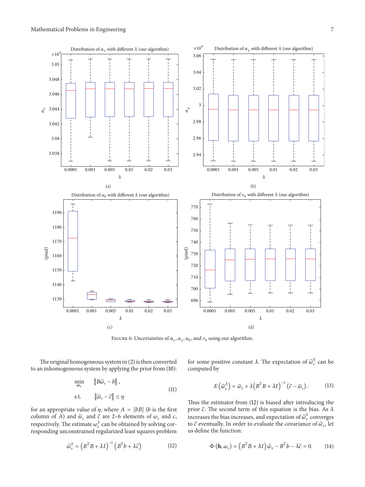

FIGURE 6: Uncertainties of  $\alpha_x$ ,  $\alpha_y$ ,  $u_0$ , and  $v_0$  using our algorithm.

The original homogeneous system in (2) is then converted to an inhomogeneous system by applying the prior from (10):

$$
\min_{\omega_{\mathbf{v}}} \qquad \|\widetilde{B\omega}_{\mathbf{v}} - b\|,
$$
\n
$$
\text{s.t.} \qquad \|\widetilde{\omega}_{\mathbf{v}} - \widetilde{c}\| \le \eta \tag{11}
$$

for an appropriate value of  $\eta$ , where  $A = [bB]$  (*b* is the first column of A) and  $\tilde{\omega}_y$  and  $\tilde{c}$  are 2–6 elements of  $\omega_y$  and  $c$ , respectively. The estimate  $\omega_v^{\lambda}$  can be obtained by solving corresponding unconstrained regularized least squares problem

$$
\widetilde{\omega}_{\nu}^{\lambda} = \left(B^{T}B + \lambda I\right)^{-1} \left(B^{T}b + \lambda \widetilde{c}\right)
$$
 (12)

for some positive constant  $\lambda$ . The expectation of  $\tilde{\omega}_{\nu}^{\lambda}$  can be computed by

$$
E\left(\tilde{\omega}_{\nu}^{\lambda}\right) = \tilde{\omega}_{\nu} + \lambda \left(B^{T}B + \lambda I\right)^{-1} \left(\tilde{c} - \tilde{\omega}_{\nu}\right). \tag{13}
$$

Thus the estimator from (12) is biased after introducing the prior  $\tilde{c}$ . The second term of this equation is the bias. As  $\lambda$ increases the bias increases, and expectation of  $\tilde{\omega}_{\nu}^{\lambda}$  converges to  $\tilde{c}$  eventually. In order to evaluate the covariance of  $\tilde{\omega}_{\nu}$  let us define the function:

$$
\Phi\left(\mathbf{h},\omega_{\nu}\right) = \left(B^{T}B + \lambda I\right)\widetilde{\omega}_{\nu} - B^{T}b - \lambda \widetilde{c} = 0. \quad (14)
$$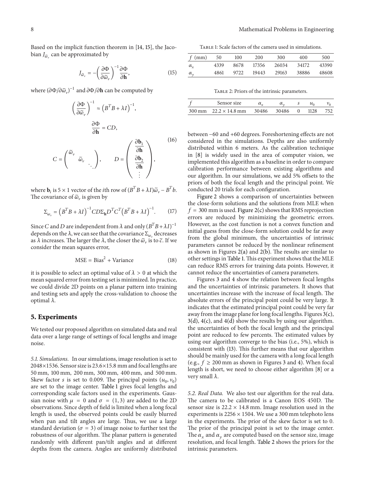Based on the implicit function theorem in [14, 15], the Jacobian  $J_{\tilde{\omega}_n}$  can be approximated by

$$
J_{\widetilde{\omega}_{\nu}} = -\left(\frac{\partial \Phi}{\partial \widetilde{\omega}_{\nu}}\right)^{-1} \frac{\partial \Phi}{\partial \mathbf{h}},\tag{15}
$$

where  $(\partial \Phi / \partial \widetilde{\omega}_v)^{-1}$  and  $\partial \Phi / \partial \mathbf{h}$  can be computed by

$$
\left(\frac{\partial \Phi}{\partial \tilde{\omega}_{\nu}}\right)^{-1} \approx \left(B^{T}B + \lambda I\right)^{-1},
$$
\n
$$
\frac{\partial \Phi}{\partial \mathbf{h}} = CD,
$$
\n
$$
C = \begin{pmatrix} \tilde{\omega}_{\nu} \\ \tilde{\omega}_{\nu} \\ \vdots \end{pmatrix}, \qquad D = \begin{pmatrix} \frac{\partial \mathbf{b}_{1}}{\partial \mathbf{h}} \\ \frac{\partial \mathbf{b}_{2}}{\partial \mathbf{h}} \\ \vdots \end{pmatrix},
$$
\n
$$
(16)
$$

where **b**<sub>i</sub> is 5 × 1 vector of the *i*th row of  $(B^T B + \lambda I)\tilde{\omega}_v - B^T b$ . The covariance of  $\tilde{\omega}_v$  is given by

$$
\Sigma_{\omega_{\mathbf{v}}} = \left(B^T B + \lambda I\right)^{-1} C D \Sigma_{\mathbf{h}} D^T C^T \left(B^T B + \lambda I\right)^{-1}.\tag{17}
$$

Since *C* and *D* are independent from  $\lambda$  and only  $(B^T B + \lambda I)^{-1}$ depends on the  $\lambda$ , we can see that the covariance  $\Sigma_{\omega_{\nu}}$  decreases as  $\lambda$  increases. The larger the  $\lambda$ , the closer the  $\tilde{\omega}_v$  is to  $\tilde{c}$ . If we consider the mean squares error,

$$
MSE = Bias^2 + Variance
$$
 (18)

it is possible to select an optimal value of  $\lambda > 0$  at which the mean squared error from testing set is minimized. In practice, we could divide 2D points on a planar pattern into training and testing sets and apply the cross-validation to choose the optimal  $\lambda$ .

# **5. Experiments**

We tested our proposed algorithm on simulated data and real data over a large range of settings of focal lengths and image noise.

*5.1. Simulations.* In our simulations, image resolution is set to 2048×1536. Sensor size is 23.6×15.8 mm and focal lengths are 50 mm, 100 mm, 200 mm, 300 mm, 400 mm, and 500 mm. Skew factor *s* is set to 0.009. The principal points  $(u_0, v_0)$ are set to the image center. Table 1 gives focal lengths and corresponding scale factors used in the experiments. Gaussian noise with  $\mu = 0$  and  $\sigma = (1, 3)$  are added to the 2D observations. Since depth of field is limited when a long focal length is used, the observed points could be easily blurred when pan and tilt angles are large. Thus, we use a large standard deviation ( $\sigma=3$ ) of image noise to further test the robustness of our algorithm. The planar pattern is generated randomly with different pan/tilt angles and at different depths from the camera. Angles are uniformly distributed

Table 1: Scale factors of the camera used in simulations.

| $f$ (mm)     | - 50 | 100  | <b>200</b> | 300   | 400   | 500   |
|--------------|------|------|------------|-------|-------|-------|
| $\alpha_{r}$ | 4339 | 8678 | 17356      | 26034 | 34172 | 43390 |
| $\alpha_{y}$ | 4861 | 9722 | 19443      | 29163 | 38886 | 48608 |

| TABLE 2: Priors of the intrinsic parameters. |  |  |  |
|----------------------------------------------|--|--|--|
|----------------------------------------------|--|--|--|

|        | Sensor size           |       |       |      |     |
|--------|-----------------------|-------|-------|------|-----|
| 300 mm | $22.2 \times 14.8$ mm | 30486 | 30486 | 1128 | 752 |

between −60 and +60 degrees. Foreshortening effects are not considered in the simulations. Depths are also uniformly distributed within 6 meters. As the calibration technique in [8] is widely used in the area of computer vision, we implemented this algorithm as a baseline in order to compare calibration performance between existing algorithms and our algorithm. In our simulations, we add 5% offsets to the priors of both the focal length and the principal point. We conducted 20 trials for each configuration.

Figure 2 shows a comparison of uncertainties between the close-form solutions and the solutions from MLE when  $f = 300$  mm is used. Figure 2(c) shows that RMS reprojection errors are reduced by minimizing the geometric errors. However, as the cost function is not a convex function and initial guess from the close-form solution could be far away from the global minimum, the uncertainties of intrinsic parameters cannot be reduced by the nonlinear refinement as shown in Figures 2(a) and 2(b). The results are similar to other settings in Table 1. This experiment shows that the MLE can reduce RMS errors for training data points. However, it cannot reduce the uncertainties of camera parameters.

Figures 3 and 4 show the relation between focal lengths and the uncertainties of intrinsic parameters. It shows that uncertainties increase with the increase of focal length. The absolute errors of the principal point could be very large. It indicates that the estimated principal point could be very far away from the image plane for long focal lengths. Figures 3(c),  $3(d)$ ,  $4(c)$ , and  $4(d)$  show the results by using our algorithm. the uncertainties of both the focal length and the principal point are reduced to few percents. The estimated values by using our algorithm converge to the bias (i.e., 5%), which is consistent with (13). This further means that our algorithm should be mainly used for the camera with a long focal length (e.g.,  $f \ge 200$  mm as shown in Figures 3 and 4). When focal length is short, we need to choose either algorithm [8] or a very small  $\lambda$ .

*5.2. Real Data.* We also test our algorithm for the real data. The camera to be calibrated is a Canon EOS 450D. The sensor size is  $22.2 \times 14.8$  mm. Image resolution used in the experiments is  $2256 \times 1504$ . We use a 300 mm telephoto lens in the experiments. The prior of the skew factor is set to 0. The prior of the principal point is set to the image center. The  $\alpha_x$  and  $\alpha_y$  are computed based on the sensor size, image resolution, and focal length. Table 2 shows the priors for the intrinsic parameters.